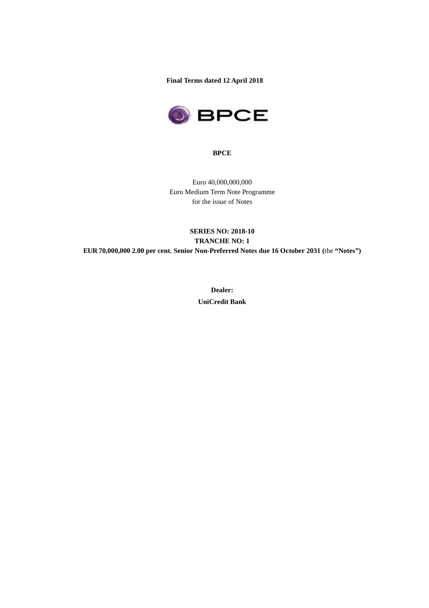**Final Terms dated 12 April 2018** 



**BPCE** 

Euro 40,000,000,000 Euro Medium Term Note Programme for the issue of Notes

## **SERIES NO: 2018-10 TRANCHE NO: 1 EUR 70,000,000 2.00 per cent. Senior Non-Preferred Notes due 16 October 2031 (**the **"Notes")**

**Dealer: UniCredit Bank**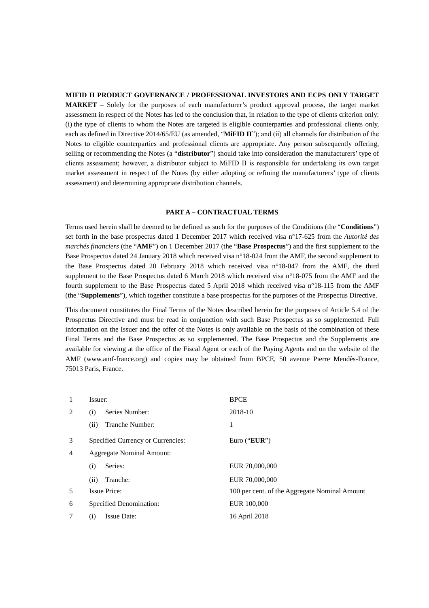#### **MIFID II PRODUCT GOVERNANCE / PROFESSIONAL INVESTORS AND ECPS ONLY TARGET**

**MARKET** – Solely for the purposes of each manufacturer's product approval process, the target market assessment in respect of the Notes has led to the conclusion that, in relation to the type of clients criterion only: (i) the type of clients to whom the Notes are targeted is eligible counterparties and professional clients only, each as defined in Directive 2014/65/EU (as amended, "**MiFID II**"); and (ii) all channels for distribution of the Notes to eligible counterparties and professional clients are appropriate. Any person subsequently offering, selling or recommending the Notes (a "**distributor**") should take into consideration the manufacturers' type of clients assessment; however, a distributor subject to MiFID II is responsible for undertaking its own target market assessment in respect of the Notes (by either adopting or refining the manufacturers' type of clients assessment) and determining appropriate distribution channels.

#### **PART A – CONTRACTUAL TERMS**

Terms used herein shall be deemed to be defined as such for the purposes of the Conditions (the "**Conditions**") set forth in the base prospectus dated 1 December 2017 which received visa n°17-625 from the *Autorité des marchés financiers* (the "**AMF**") on 1 December 2017 (the "**Base Prospectus**") and the first supplement to the Base Prospectus dated 24 January 2018 which received visa n°18-024 from the AMF, the second supplement to the Base Prospectus dated 20 February 2018 which received visa n°18-047 from the AMF, the third supplement to the Base Prospectus dated 6 March 2018 which received visa n°18-075 from the AMF and the fourth supplement to the Base Prospectus dated 5 April 2018 which received visa n°18-115 from the AMF (the "**Supplements**"), which together constitute a base prospectus for the purposes of the Prospectus Directive.

This document constitutes the Final Terms of the Notes described herein for the purposes of Article 5.4 of the Prospectus Directive and must be read in conjunction with such Base Prospectus as so supplemented. Full information on the Issuer and the offer of the Notes is only available on the basis of the combination of these Final Terms and the Base Prospectus as so supplemented. The Base Prospectus and the Supplements are available for viewing at the office of the Fiscal Agent or each of the Paying Agents and on the website of the AMF (www.amf-france.org) and copies may be obtained from BPCE, 50 avenue Pierre Mendès-France, 75013 Paris, France.

| 1 | Issuer:                           | <b>BPCE</b>                                   |  |
|---|-----------------------------------|-----------------------------------------------|--|
| 2 | Series Number:<br>(i)             | 2018-10                                       |  |
|   | Tranche Number:<br>(ii)           | 1                                             |  |
| 3 | Specified Currency or Currencies: | Euro (" $EUR$ ")                              |  |
| 4 | <b>Aggregate Nominal Amount:</b>  |                                               |  |
|   | Series:<br>(i)                    | EUR 70,000,000                                |  |
|   | Tranche:<br>(ii)                  | EUR 70,000,000                                |  |
| 5 | <b>Issue Price:</b>               | 100 per cent. of the Aggregate Nominal Amount |  |
| 6 | Specified Denomination:           | EUR 100,000                                   |  |
| 7 | Issue Date:<br>(i)                | 16 April 2018                                 |  |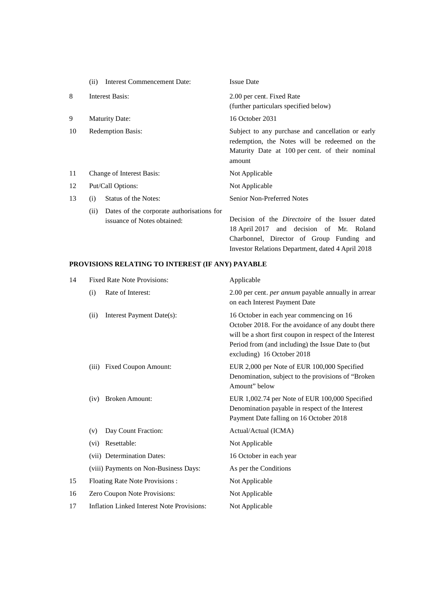|    | <b>Interest Commencement Date:</b><br>(ii)                                       | <b>Issue Date</b>                                                                                                                                                                                   |
|----|----------------------------------------------------------------------------------|-----------------------------------------------------------------------------------------------------------------------------------------------------------------------------------------------------|
| 8  | Interest Basis:                                                                  | 2.00 per cent. Fixed Rate<br>(further particulars specified below)                                                                                                                                  |
| 9  | <b>Maturity Date:</b>                                                            | 16 October 2031                                                                                                                                                                                     |
| 10 | <b>Redemption Basis:</b>                                                         | Subject to any purchase and cancellation or early<br>redemption, the Notes will be redeemed on the<br>Maturity Date at 100 per cent. of their nominal<br>amount                                     |
| 11 | Change of Interest Basis:                                                        | Not Applicable                                                                                                                                                                                      |
| 12 | Put/Call Options:                                                                | Not Applicable                                                                                                                                                                                      |
| 13 | Status of the Notes:<br>(i)                                                      | Senior Non-Preferred Notes                                                                                                                                                                          |
|    | Dates of the corporate authorisations for<br>(ii)<br>issuance of Notes obtained: | Decision of the <i>Directoire</i> of the Issuer dated<br>18 April 2017 and decision of Mr. Roland<br>Charbonnel, Director of Group Funding and<br>Investor Relations Department, dated 4 April 2018 |

# **PROVISIONS RELATING TO INTEREST (IF ANY) PAYABLE**

| 14 | <b>Fixed Rate Note Provisions:</b>                | Applicable                                                                                                                                                                                                                                    |
|----|---------------------------------------------------|-----------------------------------------------------------------------------------------------------------------------------------------------------------------------------------------------------------------------------------------------|
|    | Rate of Interest:<br>(i)                          | 2.00 per cent. per annum payable annually in arrear<br>on each Interest Payment Date                                                                                                                                                          |
|    | Interest Payment Date(s):<br>(ii)                 | 16 October in each year commencing on 16<br>October 2018. For the avoidance of any doubt there<br>will be a short first coupon in respect of the Interest<br>Period from (and including) the Issue Date to (but<br>excluding) 16 October 2018 |
|    | (iii)<br><b>Fixed Coupon Amount:</b>              | EUR 2,000 per Note of EUR 100,000 Specified<br>Denomination, subject to the provisions of "Broken"<br>Amount" below                                                                                                                           |
|    | <b>Broken Amount:</b><br>(iv)                     | EUR 1,002.74 per Note of EUR 100,000 Specified<br>Denomination payable in respect of the Interest<br>Payment Date falling on 16 October 2018                                                                                                  |
|    | Day Count Fraction:<br>(v)                        | Actual/Actual (ICMA)                                                                                                                                                                                                                          |
|    | Resettable:<br>(vi)                               | Not Applicable                                                                                                                                                                                                                                |
|    | (vii) Determination Dates:                        | 16 October in each year                                                                                                                                                                                                                       |
|    | (viii) Payments on Non-Business Days:             | As per the Conditions                                                                                                                                                                                                                         |
| 15 | Floating Rate Note Provisions :                   | Not Applicable                                                                                                                                                                                                                                |
| 16 | Zero Coupon Note Provisions:                      | Not Applicable                                                                                                                                                                                                                                |
| 17 | <b>Inflation Linked Interest Note Provisions:</b> | Not Applicable                                                                                                                                                                                                                                |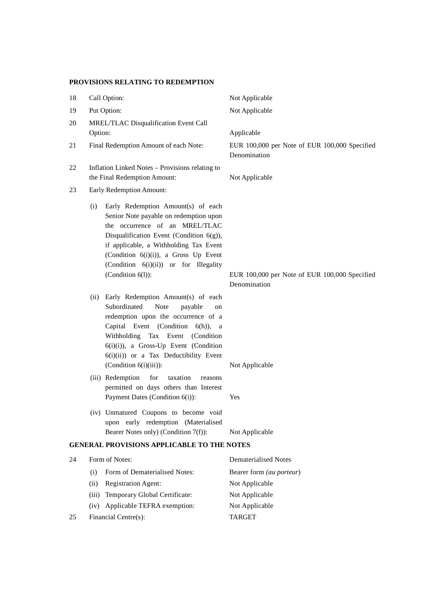## **PROVISIONS RELATING TO REDEMPTION**

| 18 |                          | Call Option:                                                                                                                                                                                                                                                                                                         | Not Applicable                                                |  |
|----|--------------------------|----------------------------------------------------------------------------------------------------------------------------------------------------------------------------------------------------------------------------------------------------------------------------------------------------------------------|---------------------------------------------------------------|--|
| 19 |                          | Put Option:                                                                                                                                                                                                                                                                                                          | Not Applicable                                                |  |
| 20 |                          | MREL/TLAC Disqualification Event Call                                                                                                                                                                                                                                                                                |                                                               |  |
|    | Option:                  |                                                                                                                                                                                                                                                                                                                      | Applicable                                                    |  |
| 21 |                          | Final Redemption Amount of each Note:                                                                                                                                                                                                                                                                                | EUR 100,000 per Note of EUR 100,000 Specified<br>Denomination |  |
| 22 |                          | Inflation Linked Notes - Provisions relating to<br>the Final Redemption Amount:                                                                                                                                                                                                                                      | Not Applicable                                                |  |
| 23 | Early Redemption Amount: |                                                                                                                                                                                                                                                                                                                      |                                                               |  |
|    | (i)                      | Early Redemption Amount(s) of each<br>Senior Note payable on redemption upon<br>the occurrence of an MREL/TLAC<br>Disqualification Event (Condition 6(g)),<br>if applicable, a Withholding Tax Event<br>(Condition 6(i)(i)), a Gross Up Event<br>(Condition 6(i)(ii)) or for Illegality<br>(Condition $6(l)$ ):      | EUR 100,000 per Note of EUR 100,000 Specified<br>Denomination |  |
|    | (ii)                     | Early Redemption Amount(s) of each<br>Subordinated<br><b>Note</b><br>payable<br>on<br>redemption upon the occurrence of a<br>Capital Event (Condition 6(h)), a<br>Withholding Tax Event (Condition<br>$6(i)(i)$ , a Gross-Up Event (Condition<br>6(i)(ii)) or a Tax Deductibility Event<br>(Condition $6(i)(iii)$ ): | Not Applicable                                                |  |
|    |                          | (iii) Redemption for<br>taxation<br>reasons<br>permitted on days others than Interest<br>Payment Dates (Condition 6(i)):                                                                                                                                                                                             | Yes                                                           |  |
|    |                          | (iv) Unmatured Coupons to become void<br>upon early redemption (Materialised<br>Bearer Notes only) (Condition 7(f)):                                                                                                                                                                                                 | Not Applicable                                                |  |
|    |                          | <b>GENERAL PROVISIONS APPLICABLE TO THE NOTES</b>                                                                                                                                                                                                                                                                    |                                                               |  |
| 24 |                          | Form of Notes:                                                                                                                                                                                                                                                                                                       | <b>Dematerialised Notes</b>                                   |  |
|    | (i)                      | Form of Dematerialised Notes:                                                                                                                                                                                                                                                                                        | Bearer form (au porteur)                                      |  |
|    | (ii)                     | Registration Agent:                                                                                                                                                                                                                                                                                                  | Not Applicable                                                |  |
|    | (iii)                    | Temporary Global Certificate:                                                                                                                                                                                                                                                                                        | Not Applicable                                                |  |
|    | (iv)                     | Applicable TEFRA exemption:                                                                                                                                                                                                                                                                                          | Not Applicable                                                |  |

25 Financial Centre(s): TARGET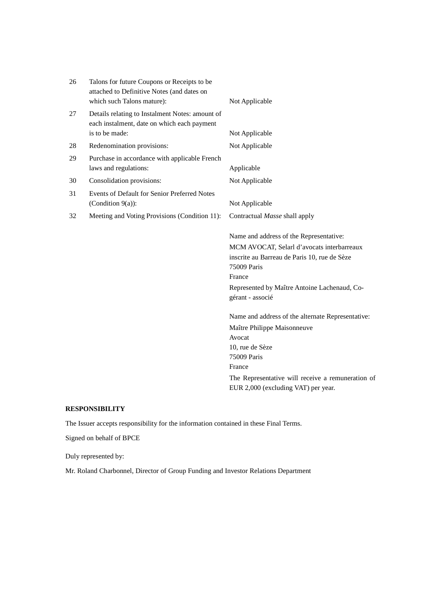| 26 | Talons for future Coupons or Receipts to be<br>attached to Definitive Notes (and dates on<br>which such Talons mature): | Not Applicable                                                   |
|----|-------------------------------------------------------------------------------------------------------------------------|------------------------------------------------------------------|
| 27 | Details relating to Instalment Notes: amount of<br>each instalment, date on which each payment<br>is to be made:        | Not Applicable                                                   |
|    |                                                                                                                         |                                                                  |
| 28 | Redenomination provisions:                                                                                              | Not Applicable                                                   |
| 29 | Purchase in accordance with applicable French<br>laws and regulations:                                                  | Applicable                                                       |
| 30 | Consolidation provisions:                                                                                               | Not Applicable                                                   |
| 31 | Events of Default for Senior Preferred Notes                                                                            |                                                                  |
|    | (Condition $9(a)$ ):                                                                                                    | Not Applicable                                                   |
| 32 | Meeting and Voting Provisions (Condition 11):                                                                           | Contractual Masse shall apply                                    |
|    |                                                                                                                         | Name and address of the Representative:                          |
|    |                                                                                                                         | MCM AVOCAT, Selarl d'avocats interbarreaux                       |
|    |                                                                                                                         | inscrite au Barreau de Paris 10, rue de Sèze                     |
|    |                                                                                                                         | 75009 Paris                                                      |
|    |                                                                                                                         | France                                                           |
|    |                                                                                                                         | Represented by Maître Antoine Lachenaud, Co-<br>gérant - associé |
|    |                                                                                                                         | Name and address of the alternate Representative:                |
|    |                                                                                                                         | Maître Philippe Maisonneuve                                      |
|    |                                                                                                                         | Avocat                                                           |
|    |                                                                                                                         | 10, rue de Sèze                                                  |
|    |                                                                                                                         | 75009 Paris                                                      |
|    |                                                                                                                         | France                                                           |
|    |                                                                                                                         | The Representative will receive a remuneration of                |
|    |                                                                                                                         | EUR 2,000 (excluding VAT) per year.                              |

# **RESPONSIBILITY**

The Issuer accepts responsibility for the information contained in these Final Terms.

Signed on behalf of BPCE

Duly represented by:

Mr. Roland Charbonnel, Director of Group Funding and Investor Relations Department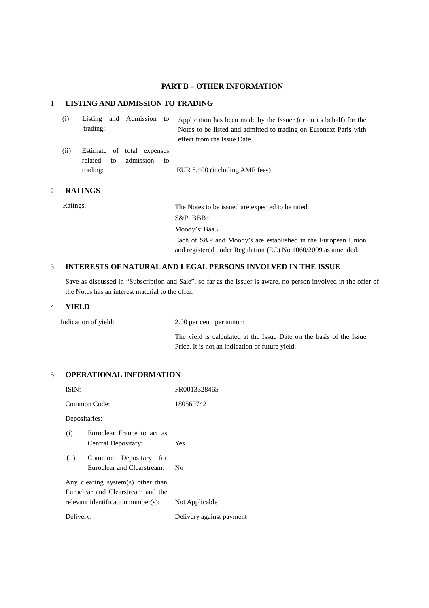### **PART B – OTHER INFORMATION**

### 1 **LISTING AND ADMISSION TO TRADING**

| (i)  | trading:                  | Listing and Admission to                      | Application has been made by the Issuer (or on its behalf) for the<br>Notes to be listed and admitted to trading on Euronext Paris with<br>effect from the Issue Date. |
|------|---------------------------|-----------------------------------------------|------------------------------------------------------------------------------------------------------------------------------------------------------------------------|
| (ii) | related<br>to<br>trading: | Estimate of total expenses<br>admission<br>to | EUR 8,400 (including AMF fees)                                                                                                                                         |

### 2 **RATINGS**

Ratings: The Notes to be issued are expected to be rated: S&P: BBB+ Moody's: Baa3 Each of S&P and Moody's are established in the European Union and registered under Regulation (EC) No 1060/2009 as amended.

## 3 **INTERESTS OF NATURAL AND LEGAL PERSONS INVOLVED IN THE ISSUE**

Save as discussed in "Subscription and Sale", so far as the Issuer is aware, no person involved in the offer of the Notes has an interest material to the offer.

#### 4 **YIELD**

Indication of yield: 2.00 per cent. per annum

The yield is calculated at the Issue Date on the basis of the Issue Price. It is not an indication of future yield.

### 5 **OPERATIONAL INFORMATION**

| ISIN:         |                                                                                                              | FR0013328465             |
|---------------|--------------------------------------------------------------------------------------------------------------|--------------------------|
| Common Code:  |                                                                                                              | 180560742                |
| Depositaries: |                                                                                                              |                          |
| (i)           | Euroclear France to act as<br>Central Depositary:                                                            | <b>Yes</b>               |
| (ii)          | Common Depositary for<br>Euroclear and Clearstream:                                                          | Nο                       |
|               | Any clearing system(s) other than<br>Euroclear and Clearstream and the<br>relevant identification number(s): | Not Applicable           |
| Delivery:     |                                                                                                              | Delivery against payment |
|               |                                                                                                              |                          |